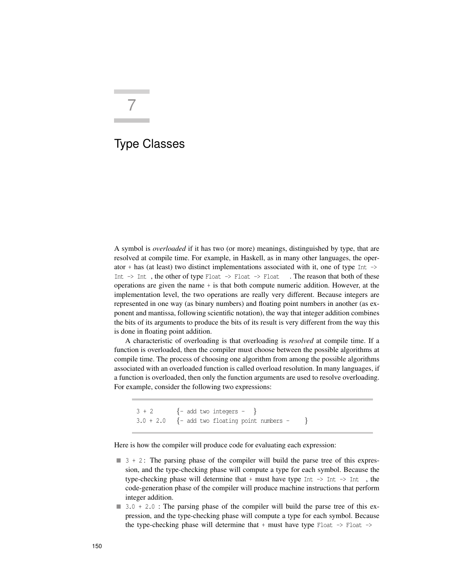# 7

# Type Classes

A symbol is *overloaded* if it has two (or more) meanings, distinguished by type, that are resolved at compile time. For example, in Haskell, as in many other languages, the operator + has (at least) two distinct implementations associated with it, one of type Int  $\rightarrow$ Int  $\rightarrow$  Int, the other of type Float  $\rightarrow$  Float  $\rightarrow$  Float . The reason that both of these operations are given the name + is that both compute numeric addition. However, at the implementation level, the two operations are really very different. Because integers are represented in one way (as binary numbers) and floating point numbers in another (as exponent and mantissa, following scientific notation), the way that integer addition combines the bits of its arguments to produce the bits of its result is very different from the way this is done in floating point addition.

A characteristic of overloading is that overloading is *resolved* at compile time. If a function is overloaded, then the compiler must choose between the possible algorithms at compile time. The process of choosing one algorithm from among the possible algorithms associated with an overloaded function is called overload resolution. In many languages, if a function is overloaded, then only the function arguments are used to resolve overloading. For example, consider the following two expressions:

```
3 + 2 {- add two integers - }
3.0 + 2.0 {- add two floating point numbers - }
```
Here is how the compiler will produce code for evaluating each expression:

- $\blacksquare$  3 + 2 : The parsing phase of the compiler will build the parse tree of this expression, and the type-checking phase will compute a type for each symbol. Because the type-checking phase will determine that + must have type  $Int \rightarrow Int$ , the code-generation phase of the compiler will produce machine instructions that perform integer addition.
- $\blacksquare$  3.0 + 2.0 : The parsing phase of the compiler will build the parse tree of this expression, and the type-checking phase will compute a type for each symbol. Because the type-checking phase will determine that  $+$  must have type Float  $-$ > Float  $-$ >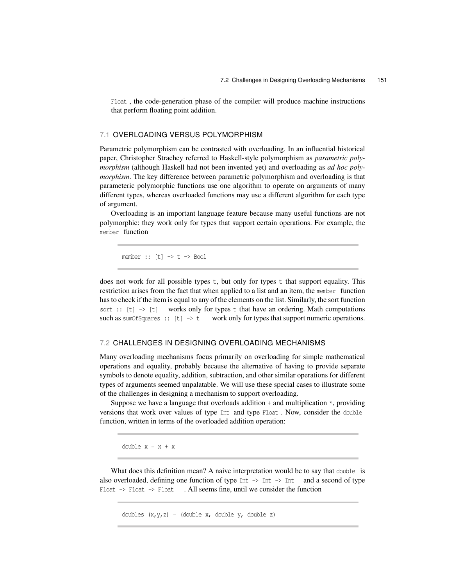Float , the code-generation phase of the compiler will produce machine instructions that perform floating point addition.

# 7.1 OVERLOADING VERSUS POLYMORPHISM

Parametric polymorphism can be contrasted with overloading. In an influential historical paper, Christopher Strachey referred to Haskell-style polymorphism as *parametric polymorphism* (although Haskell had not been invented yet) and overloading as *ad hoc polymorphism.* The key difference between parametric polymorphism and overloading is that parameteric polymorphic functions use one algorithm to operate on arguments of many different types, whereas overloaded functions may use a different algorithm for each type of argument.

Overloading is an important language feature because many useful functions are not polymorphic: they work only for types that support certain operations. For example, the member function

 $member :: [t] \rightarrow t \rightarrow Bool$ 

does not work for all possible types  $t$ , but only for types  $t$  that support equality. This restriction arises from the fact that when applied to a list and an item, the member function has to check if the item is equal to any of the elements on the list. Similarly, the sort function sort ::  $[t] \rightarrow [t]$  works only for types t that have an ordering. Math computations such as sumOfSquares ::  $[t] \rightarrow t$  work only for types that support numeric operations.

## 7.2 CHALLENGES IN DESIGNING OVERLOADING MECHANISMS

Many overloading mechanisms focus primarily on overloading for simple mathematical operations and equality, probably because the alternative of having to provide separate symbols to denote equality, addition, subtraction, and other similar operations for different types of arguments seemed unpalatable. We will use these special cases to illustrate some of the challenges in designing a mechanism to support overloading.

Suppose we have a language that overloads addition  $+$  and multiplication  $*$ , providing versions that work over values of type Int and type Float . Now, consider the double function, written in terms of the overloaded addition operation:

double x = x + x

What does this definition mean? A naive interpretation would be to say that double is also overloaded, defining one function of type Int  $\rightarrow$  Int  $\rightarrow$  Int and a second of type Float  $\rightarrow$  Float  $\rightarrow$  Float . All seems fine, until we consider the function

doubles  $(x,y,z) = (double x, double y, double z)$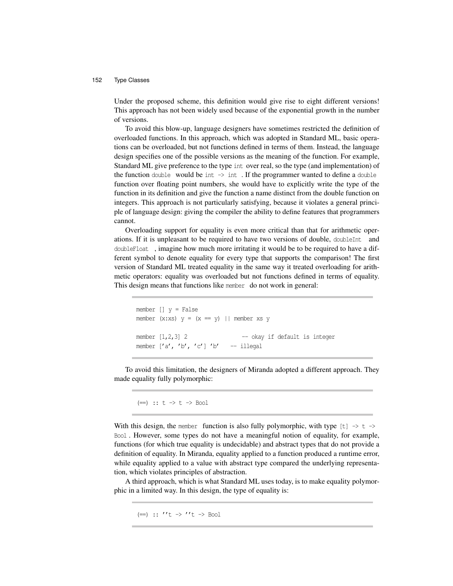Under the proposed scheme, this definition would give rise to eight different versions! This approach has not been widely used because of the exponential growth in the number of versions.

To avoid this blow-up, language designers have sometimes restricted the definition of overloaded functions. In this approach, which was adopted in Standard ML, basic operations can be overloaded, but not functions defined in terms of them. Instead, the language design specifies one of the possible versions as the meaning of the function. For example, Standard ML give preference to the type int over real, so the type (and implementation) of the function double would be int  $\rightarrow$  int. If the programmer wanted to define a double function over floating point numbers, she would have to explicitly write the type of the function in its definition and give the function a name distinct from the double function on integers. This approach is not particularly satisfying, because it violates a general principle of language design: giving the compiler the ability to define features that programmers cannot.

Overloading support for equality is even more critical than that for arithmetic operations. If it is unpleasant to be required to have two versions of double, doubleInt and doubleFloat , imagine how much more irritating it would be to be required to have a different symbol to denote equality for every type that supports the comparison! The first version of Standard ML treated equality in the same way it treated overloading for arithmetic operators: equality was overloaded but not functions defined in terms of equality. This design means that functions like member do not work in general:

```
member [] y = False
member (x:xs) y = (x == y) || member xs y
member [1,2,3] 2 -- okay if default is integer
member ['a', 'b', 'c']'b' -- illegal
```
To avoid this limitation, the designers of Miranda adopted a different approach. They made equality fully polymorphic:

 $(==)$  ::  $t \rightarrow t \rightarrow$  Bool

With this design, the member function is also fully polymorphic, with type  $[t] \rightarrow t \rightarrow$ Bool . However, some types do not have a meaningful notion of equality, for example, functions (for which true equality is undecidable) and abstract types that do not provide a definition of equality. In Miranda, equality applied to a function produced a runtime error, while equality applied to a value with abstract type compared the underlying representation, which violates principles of abstraction.

A third approach, which is what Standard ML uses today, is to make equality polymorphic in a limited way. In this design, the type of equality is:

 $(==)$  :: ''t -> ''t -> Bool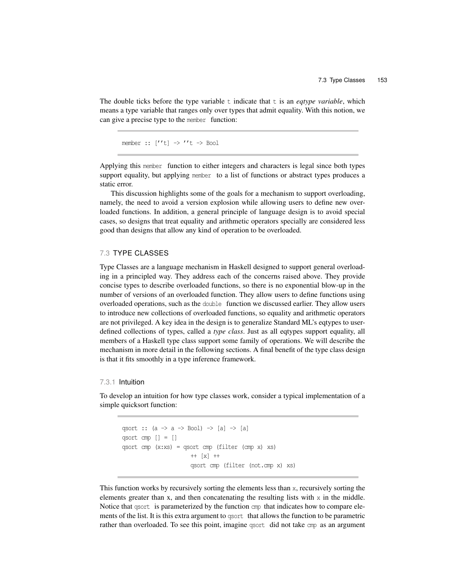The double ticks before the type variable  $t$  indicate that  $t$  is an *eqtype variable*, which means a type variable that ranges only over types that admit equality. With this notion, we can give a precise type to the member function:

member ::  $[''t] \rightarrow ''t \rightarrow Bool$ 

Applying this member function to either integers and characters is legal since both types support equality, but applying member to a list of functions or abstract types produces a static error.

This discussion highlights some of the goals for a mechanism to support overloading, namely, the need to avoid a version explosion while allowing users to define new overloaded functions. In addition, a general principle of language design is to avoid special cases, so designs that treat equality and arithmetic operators specially are considered less good than designs that allow any kind of operation to be overloaded.

# 7.3 TYPE CLASSES

Type Classes are a language mechanism in Haskell designed to support general overloading in a principled way. They address each of the concerns raised above. They provide concise types to describe overloaded functions, so there is no exponential blow-up in the number of versions of an overloaded function. They allow users to define functions using overloaded operations, such as the double function we discussed earlier. They allow users to introduce new collections of overloaded functions, so equality and arithmetic operators are not privileged. A key idea in the design is to generalize Standard ML's eqtypes to userdefined collections of types, called a *type class*. Just as all eqtypes support equality, all members of a Haskell type class support some family of operations. We will describe the mechanism in more detail in the following sections. A final benefit of the type class design is that it fits smoothly in a type inference framework.

#### 7.3.1 Intuition

To develop an intuition for how type classes work, consider a typical implementation of a simple quicksort function:

```
qsort :: (a \rightarrow a \rightarrow Bool) \rightarrow [a] \rightarrow [a]
qsort cmp [ ] = [qsort cmp (x:xs) = qsort cmp (filter (cmp x) xs)
                          ++ [x] ++
                          qsort cmp (filter (not.cmp x) xs)
```
This function works by recursively sorting the elements less than x, recursively sorting the elements greater than x, and then concatenating the resulting lists with  $x$  in the middle. Notice that qsort is parameterized by the function cmp that indicates how to compare elements of the list. It is this extra argument to qsort that allows the function to be parametric rather than overloaded. To see this point, imagine qsort did not take cmp as an argument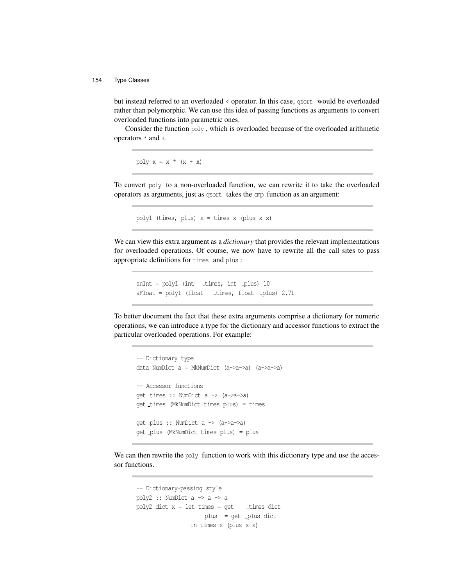but instead referred to an overloaded < operator. In this case, qsort would be overloaded rather than polymorphic. We can use this idea of passing functions as arguments to convert overloaded functions into parametric ones.

Consider the function poly , which is overloaded because of the overloaded arithmetic operators \* and +.

poly  $x = x * (x + x)$ 

To convert poly to a non-overloaded function, we can rewrite it to take the overloaded operators as arguments, just as qsort takes the cmp function as an argument:

poly1 (times, plus)  $x =$  times  $x$  (plus  $x$   $x$ )

We can view this extra argument as a *dictionary* that provides the relevant implementations for overloaded operations. Of course, we now have to rewrite all the call sites to pass appropriate definitions for times and plus :

 $anInt = poly1$  (int \_times, int \_plus) 10 aFloat = poly1 (float \_times, float \_plus) 2.71

To better document the fact that these extra arguments comprise a dictionary for numeric operations, we can introduce a type for the dictionary and accessor functions to extract the particular overloaded operations. For example:

```
-- Dictionary type
data NumDict a = MkNumDict (a->a->a) (a->a->a)
-- Accessor functions
get times :: NumDict a -> (a->a->a)
get times (MkNumDict times plus) = times
get plus :: NumDict a -> (a->a->a)
get plus (MkNumDict times plus) = plus
```
We can then rewrite the poly function to work with this dictionary type and use the accessor functions.

```
-- Dictionary-passing style
poly2 :: NumDict a \rightarrow a \rightarrow apoly2 dict x = let times = get times dict
                       plus = get _plus dict
                  in times x (plus x x)
```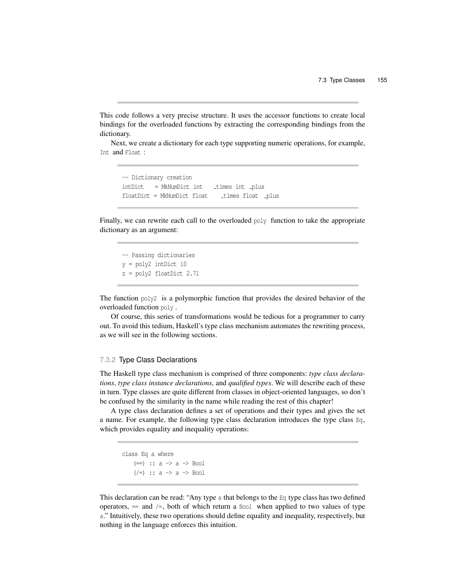This code follows a very precise structure. It uses the accessor functions to create local bindings for the overloaded functions by extracting the corresponding bindings from the dictionary.

Next, we create a dictionary for each type supporting numeric operations, for example, Int and Float :

-- Dictionary creation  $intDict = MkNumDict$  int  $times int$  plus floatDict = MkNumDict float times float \_plus

Finally, we can rewrite each call to the overloaded poly function to take the appropriate dictionary as an argument:

-- Passing dictionaries y = poly2 intDict 10 z = poly2 floatDict 2.71

The function  $poly2$  is a polymorphic function that provides the desired behavior of the overloaded function poly .

Of course, this series of transformations would be tedious for a programmer to carry out. To avoid this tedium, Haskell's type class mechanism automates the rewriting process, as we will see in the following sections.

#### 7.3.2 Type Class Declarations

The Haskell type class mechanism is comprised of three components: *type class declarations*, *type class instance declarations*, and *qualified types*. We will describe each of these in turn. Type classes are quite different from classes in object-oriented languages, so don't be confused by the similarity in the name while reading the rest of this chapter!

A type class declaration defines a set of operations and their types and gives the set a name. For example, the following type class declaration introduces the type class  $Eq$ , which provides equality and inequality operations:

```
class Eq a where
     (=) :: a \rightarrow a \rightarrow Bool
     (\neq) :: a \Rightarrow a \Rightarrow Bool
```
This declaration can be read: "Any type a that belongs to the  $E_q$  type class has two defined operators,  $=$  and  $/=$ , both of which return a Bool when applied to two values of type a." Intuitively, these two operations should define equality and inequality, respectively, but nothing in the language enforces this intuition.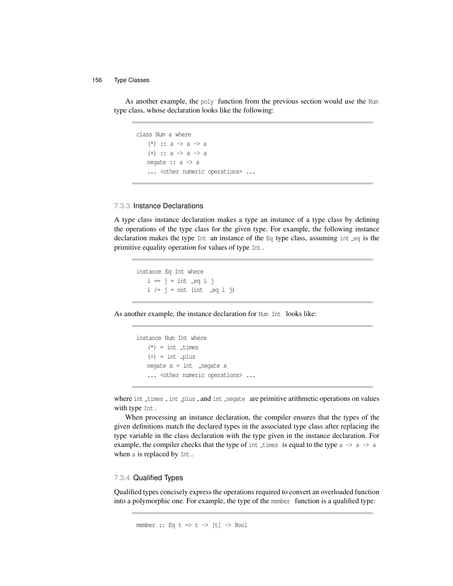As another example, the poly function from the previous section would use the Num type class, whose declaration looks like the following:

```
class Num a where
    (*) :: a \rightarrow a \rightarrow a
    (+) :: a \rightarrow a \rightarrow anegate :: a -> a
    ... < other numeric operations> ...
```
# 7.3.3 Instance Declarations

A type class instance declaration makes a type an instance of a type class by defining the operations of the type class for the given type. For example, the following instance declaration makes the type Int an instance of the  $Eq$  type class, assuming int  $eq$  is the primitive equality operation for values of type Int .

instance Eq Int where  $i = j = int eq i j$  $i$  /=  $j$  = not (int \_eq i j)

As another example, the instance declaration for Num Int looks like:

instance Num Int where  $(*)$  = int \_times  $(+) = int$  plus  $negate x = int$  \_negate x ... < other numeric operations> ...

where int times, int plus, and int negate are primitive arithmetic operations on values with type Int .

When processing an instance declaration, the compiler ensures that the types of the given definitions match the declared types in the associated type class after replacing the type variable in the class declaration with the type given in the instance declaration. For example, the compiler checks that the type of int times is equal to the type  $a \rightarrow a \rightarrow a$ when a is replaced by Int .

### 7.3.4 Qualified Types

Qualified types concisely express the operations required to convert an overloaded function into a polymorphic one. For example, the type of the member function is a qualified type:

```
member :: Eq t \Rightarrow t \Rightarrow [t] \Rightarrow Bool
```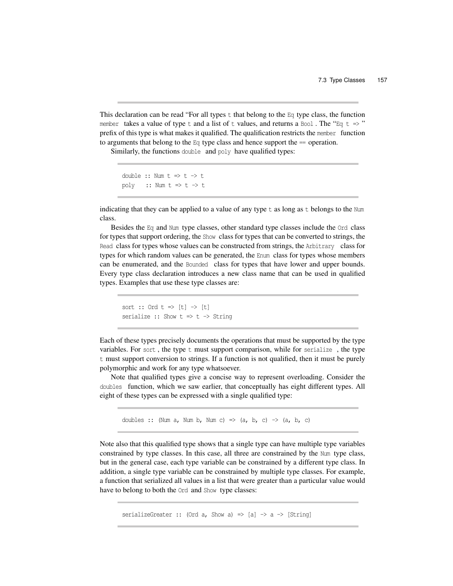This declaration can be read "For all types  $t$  that belong to the  $Eq$  type class, the function member takes a value of type t and a list of t values, and returns a Bool. The "Eq t  $\Rightarrow$ " prefix of this type is what makes it qualified. The qualification restricts the member function to arguments that belong to the  $Eq$  type class and hence support the  $=$  operation.

Similarly, the functions double and poly have qualified types:

```
double :: Num t \Rightarrow t \Rightarrow tpoly :: Num t \Rightarrow t \Rightarrow t
```
indicating that they can be applied to a value of any type  $\pm$  as long as  $\pm$  belongs to the Num class.

Besides the Eq and Num type classes, other standard type classes include the Ord class for types that support ordering, the Show class for types that can be converted to strings, the Read class for types whose values can be constructed from strings, the Arbitrary class for types for which random values can be generated, the Enum class for types whose members can be enumerated, and the Bounded class for types that have lower and upper bounds. Every type class declaration introduces a new class name that can be used in qualified types. Examples that use these type classes are:

```
sort :: Ord t \Rightarrow [t] \Rightarrow [t]serialize :: Show t \Rightarrow t \Rightarrow String
```
Each of these types precisely documents the operations that must be supported by the type variables. For sort , the type t must support comparison, while for serialize , the type t must support conversion to strings. If a function is not qualified, then it must be purely polymorphic and work for any type whatsoever.

Note that qualified types give a concise way to represent overloading. Consider the doubles function, which we saw earlier, that conceptually has eight different types. All eight of these types can be expressed with a single qualified type:

doubles :: (Num a, Num b, Num c)  $\Rightarrow$  (a, b, c)  $\Rightarrow$  (a, b, c)

Note also that this qualified type shows that a single type can have multiple type variables constrained by type classes. In this case, all three are constrained by the Num type class, but in the general case, each type variable can be constrained by a different type class. In addition, a single type variable can be constrained by multiple type classes. For example, a function that serialized all values in a list that were greater than a particular value would have to belong to both the  $Ord$  and Show type classes:

serializeGreater :: (Ord a, Show a) => [a] -> a -> [String]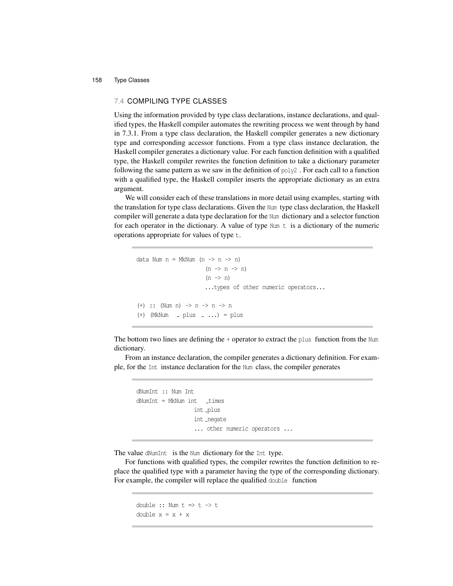# 7.4 COMPILING TYPE CLASSES

Using the information provided by type class declarations, instance declarations, and qualified types, the Haskell compiler automates the rewriting process we went through by hand in 7.3.1. From a type class declaration, the Haskell compiler generates a new dictionary type and corresponding accessor functions. From a type class instance declaration, the Haskell compiler generates a dictionary value. For each function definition with a qualified type, the Haskell compiler rewrites the function definition to take a dictionary parameter following the same pattern as we saw in the definition of poly2 . For each call to a function with a qualified type, the Haskell compiler inserts the appropriate dictionary as an extra argument.

We will consider each of these translations in more detail using examples, starting with the translation for type class declarations. Given the Num type class declaration, the Haskell compiler will generate a data type declaration for the Num dictionary and a selector function for each operator in the dictionary. A value of type  $Num t$  is a dictionary of the numeric operations appropriate for values of type t.

```
data Num n = MkNum (n \rightarrow n \rightarrow n)
                           (n \rightarrow n \rightarrow n)(n \rightarrow n)...types of other numeric operators...
(+) :: (Num n) -> n -> n -> n
(+) (MkNum = plus = \ldots) = plus
```
The bottom two lines are defining the  $+$  operator to extract the plus function from the Num dictionary.

From an instance declaration, the compiler generates a dictionary definition. For example, for the Int instance declaration for the Num class, the compiler generates

```
dNumInt :: Num Int
dNumber = MkNum int _times
                  int _plus
                  int _negate
                  ... other numeric operators ...
```
The value dNumInt is the Num dictionary for the Int type.

For functions with qualified types, the compiler rewrites the function definition to replace the qualified type with a parameter having the type of the corresponding dictionary. For example, the compiler will replace the qualified double function

```
double :: Num t \Rightarrow t \Rightarrow tdouble x = x + x
```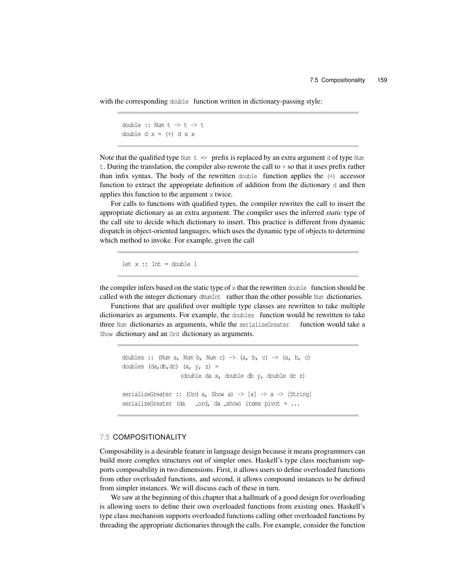with the corresponding double function written in dictionary-passing style:

```
double :: Num t \rightarrow t \rightarrow tdouble d x = (+) d x x
```
Note that the qualified type Num  $t \Rightarrow$  prefix is replaced by an extra argument d of type Num t. During the translation, the compiler also rewrote the call to + so that it uses prefix rather than infix syntax. The body of the rewritten double function applies the (+) accessor function to extract the appropriate definition of addition from the dictionary d and then applies this function to the argument x twice.

For calls to functions with qualified types, the compiler rewrites the call to insert the appropriate dictionary as an extra argument. The compiler uses the inferred *static* type of the call site to decide which dictionary to insert. This practice is different from dynamic dispatch in object-oriented languages, which uses the dynamic type of objects to determine which method to invoke. For example, given the call

let  $x :: Int = double 1$ 

the compiler infers based on the static type of x that the rewritten double function should be called with the integer dictionary dNumInt rather than the other possible Num dictionaries.

Functions that are qualified over multiple type classes are rewritten to take multiple dictionaries as arguments. For example, the doubles function would be rewritten to take three Num dictionaries as arguments, while the serializeGreater function would take a Show dictionary and an Ord dictionary as arguments.

doubles :: (Num a, Num b, Num c)  $\rightarrow$  (a, b, c)  $\rightarrow$  (a, b, c) doubles (da,db,dc) (x, y, z) = (double da x, double db y, double dc z) serializeGreater :: (Ord a, Show a)  $\rightarrow$  [a]  $\rightarrow$  a  $\rightarrow$  [String] serializeGreater (da \_ord, da \_show) items pivot =  $\ldots$ 

# 7.5 COMPOSITIONALITY

Composability is a desirable feature in language design because it means programmers can build more complex structures out of simpler ones. Haskell's type class mechanism supports composability in two dimensions. First, it allows users to define overloaded functions from other overloaded functions, and second, it allows compound instances to be defined from simpler instances. We will discuss each of these in turn.

We saw at the beginning of this chapter that a hallmark of a good design for overloading is allowing users to define their own overloaded functions from existing ones. Haskell's type class mechanism supports overloaded functions calling other overloaded functions by threading the appropriate dictionaries through the calls. For example, consider the function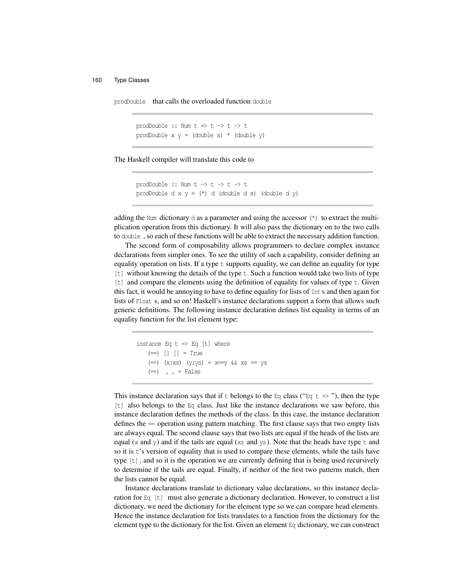prodDouble that calls the overloaded function double

prodDouble :: Num  $t \Rightarrow t \Rightarrow t \Rightarrow t$ prodDouble  $x y = (double x) * (double y)$ 

The Haskell compiler will translate this code to

```
prodDouble :: Num t \rightarrow t \rightarrow t \rightarrow tprodDouble d x y = (*) d (double d x) (double d y)
```
adding the Num dictionary d as a parameter and using the accessor  $(*)$  to extract the multiplication operation from this dictionary. It will also pass the dictionary on to the two calls to double , so each of these functions will be able to extract the necessary addition function.

The second form of composability allows programmers to declare complex instance declarations from simpler ones. To see the utility of such a capability, consider defining an equality operation on lists. If a type t supports equality, we can define an equality for type [t] without knowing the details of the type t. Such a function would take two lists of type  $[t]$  and compare the elements using the definition of equality for values of type  $t$ . Given this fact, it would be annoying to have to define equality for lists of Int s and then again for lists of Float s, and so on! Haskell's instance declarations support a form that allows such generic definitions. The following instance declaration defines list equality in terms of an equality function for the list element type:

```
instance Eq t \Rightarrow Eq [t] where
   (==) [] [] = True
   (==) (x:xs) (y:ys) = x=ys & xs = ys(==) = = False
```
This instance declaration says that if t belongs to the Eq class ("Eq t => "), then the type [t] also belongs to the Eq class. Just like the instance declarations we saw before, this instance declaration defines the methods of the class. In this case, the instance declaration defines the == operation using pattern matching. The first clause says that two empty lists are always equal. The second clause says that two lists are equal if the heads of the lists are equal  $(x$  and  $y)$  and if the tails are equal  $(xs$  and  $ys)$ . Note that the heads have type t and so it is t's version of equality that is used to compare these elements, while the tails have type [t] , and so it is the operation we are currently defining that is being used recursively to determine if the tails are equal. Finally, if neither of the first two patterns match, then the lists cannot be equal.

Instance declarations translate to dictionary value declarations, so this instance declaration for Eq [t] must also generate a dictionary declaration. However, to construct a list dictionary, we need the dictionary for the element type so we can compare head elements. Hence the instance declaration for lists translates to a function from the dictionary for the element type to the dictionary for the list. Given an element  $\mathbb{E}_{q}$  dictionary, we can construct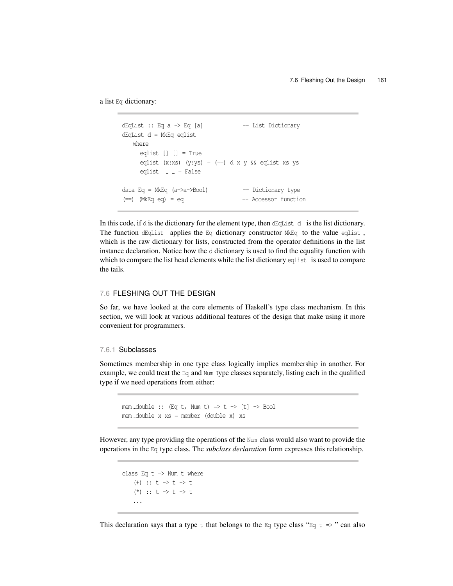a list Eq dictionary:

```
dEqList :: Eq a -> Eq [a] -- List Dictionary
dEqList d = MkEq eqlist
   where
    eqlist [] [] = True
    eqlist (x:xs) (y:ys) = (==) d x y && eqlist xs ys
    eqlist = = False
data Eq = MkEq (a->a->Bool) -- Dictionary type
(==) (MkEq eq) = eq --- Accessor function
```
In this code, if d is the dictionary for the element type, then dEqList d is the list dictionary. The function dEqList applies the Eq dictionary constructor  $M \& Eq$  to the value eqlist, which is the raw dictionary for lists, constructed from the operator definitions in the list instance declaration. Notice how the d dictionary is used to find the equality function with which to compare the list head elements while the list dictionary eqlist is used to compare the tails.

# 7.6 FLESHING OUT THE DESIGN

So far, we have looked at the core elements of Haskell's type class mechanism. In this section, we will look at various additional features of the design that make using it more convenient for programmers.

# 7.6.1 Subclasses

Sometimes membership in one type class logically implies membership in another. For example, we could treat the Eq and Num type classes separately, listing each in the qualified type if we need operations from either:

```
mem _double :: (Eq t, Num t) => t -> [t] -> Bool
mem double x xs = member (double x) xs
```
However, any type providing the operations of the Num class would also want to provide the operations in the Eq type class. The *subclass declaration* form expresses this relationship.

```
class Eq t => Num t where
   (+) :: t \to t \to t(*) :: t \to t \to t...
```
This declaration says that a type t that belongs to the Eq type class "Eq t  $\Rightarrow$ " can also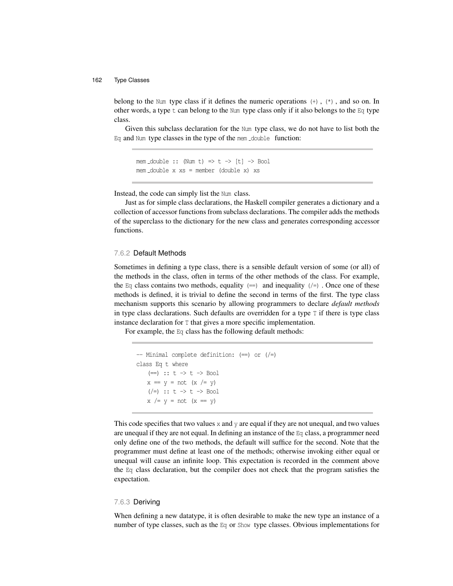belong to the Num type class if it defines the numeric operations  $(+)$ ,  $(*)$ , and so on. In other words, a type  $t$  can belong to the Num type class only if it also belongs to the Eq type class.

Given this subclass declaration for the Num type class, we do not have to list both the Eq and Num type classes in the type of the mem \_double function:

mem  $double :: (Num t) \Rightarrow t \Rightarrow [t] \Rightarrow Bool$ mem double x xs = member (double x) xs

Instead, the code can simply list the Num class.

Just as for simple class declarations, the Haskell compiler generates a dictionary and a collection of accessor functions from subclass declarations. The compiler adds the methods of the superclass to the dictionary for the new class and generates corresponding accessor functions.

# 7.6.2 Default Methods

Sometimes in defining a type class, there is a sensible default version of some (or all) of the methods in the class, often in terms of the other methods of the class. For example, the Eq class contains two methods, equality  $(==)$  and inequality  $(/*)$ . Once one of these methods is defined, it is trivial to define the second in terms of the first. The type class mechanism supports this scenario by allowing programmers to declare *default methods* in type class declarations. Such defaults are overridden for a type  $T$  if there is type class instance declaration for T that gives a more specific implementation.

For example, the Eq class has the following default methods:

```
-- Minimal complete definition: (==) or (/=)
class Eq t where
   (==) :: t \rightarrow t \rightarrow Bool
   x = y = not (x / = y)(\neq) :: t -> t -> Bool
   x /= y = not (x == y)
```
This code specifies that two values  $x$  and  $y$  are equal if they are not unequal, and two values are unequal if they are not equal. In defining an instance of the Eq class, a programmer need only define one of the two methods, the default will suffice for the second. Note that the programmer must define at least one of the methods; otherwise invoking either equal or unequal will cause an infinite loop. This expectation is recorded in the comment above the Eq class declaration, but the compiler does not check that the program satisfies the expectation.

#### 7.6.3 Deriving

When defining a new datatype, it is often desirable to make the new type an instance of a number of type classes, such as the Eq or Show type classes. Obvious implementations for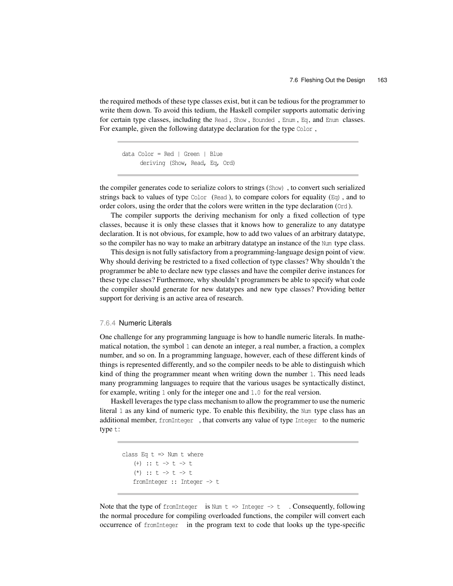the required methods of these type classes exist, but it can be tedious for the programmer to write them down. To avoid this tedium, the Haskell compiler supports automatic deriving for certain type classes, including the Read , Show , Bounded , Enum , Eq , and Enum classes. For example, given the following datatype declaration for the type Color ,

data Color = Red | Green | Blue deriving (Show, Read, Eq, Ord)

the compiler generates code to serialize colors to strings (Show) , to convert such serialized strings back to values of type Color (Read), to compare colors for equality  $(Eq)$ , and to order colors, using the order that the colors were written in the type declaration (Ord ).

The compiler supports the deriving mechanism for only a fixed collection of type classes, because it is only these classes that it knows how to generalize to any datatype declaration. It is not obvious, for example, how to add two values of an arbitrary datatype, so the compiler has no way to make an arbitrary datatype an instance of the Num type class.

This design is not fully satisfactory from a programming-language design point of view. Why should deriving be restricted to a fixed collection of type classes? Why shouldn't the programmer be able to declare new type classes and have the compiler derive instances for these type classes? Furthermore, why shouldn't programmers be able to specify what code the compiler should generate for new datatypes and new type classes? Providing better support for deriving is an active area of research.

# 7.6.4 Numeric Literals

One challenge for any programming language is how to handle numeric literals. In mathematical notation, the symbol 1 can denote an integer, a real number, a fraction, a complex number, and so on. In a programming language, however, each of these different kinds of things is represented differently, and so the compiler needs to be able to distinguish which kind of thing the programmer meant when writing down the number 1. This need leads many programming languages to require that the various usages be syntactically distinct, for example, writing 1 only for the integer one and 1.0 for the real version.

Haskell leverages the type class mechanism to allow the programmer to use the numeric literal 1 as any kind of numeric type. To enable this flexibility, the Num type class has an additional member, fromInteger , that converts any value of type Integer to the numeric type t:

```
class Eq t \Rightarrow Num t where
   (+) :: t \to t \to t(*) :: t \to t \to tfromInteger :: Integer -> t
```
Note that the type of from Integer is Num  $t \Rightarrow$  Integer  $\rightarrow t$  . Consequently, following the normal procedure for compiling overloaded functions, the compiler will convert each occurrence of fromInteger in the program text to code that looks up the type-specific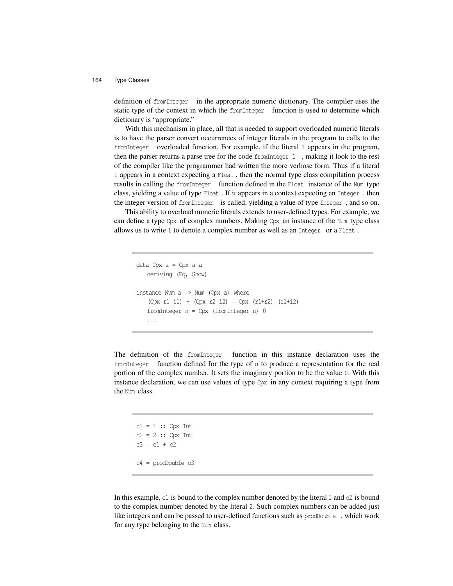definition of fromInteger in the appropriate numeric dictionary. The compiler uses the static type of the context in which the fromInteger function is used to determine which dictionary is "appropriate."

With this mechanism in place, all that is needed to support overloaded numeric literals is to have the parser convert occurrences of integer literals in the program to calls to the fromInteger overloaded function. For example, if the literal 1 appears in the program, then the parser returns a parse tree for the code fromInteger 1 , making it look to the rest of the compiler like the programmer had written the more verbose form. Thus if a literal 1 appears in a context expecting a Float , then the normal type class compilation process results in calling the fromInteger function defined in the Float instance of the Num type class, yielding a value of type Float . If it appears in a context expecting an Integer , then the integer version of fromInteger is called, yielding a value of type Integer , and so on.

This ability to overload numeric literals extends to user-defined types. For example, we can define a type  $Cpx$  of complex numbers. Making  $Cpx$  an instance of the Num type class allows us to write 1 to denote a complex number as well as an Integer or a Float .

```
data Cpx a = Cpx a a
   deriving (Eq, Show)
instance Num a \Rightarrow Num (Cpx a) where
   (Cpx r1 i1) + (Cpx r2 i2) = Cpx (r1+r2) (i1+i2)
   fromInteger n = Cpx (fromInteger n) 0
   ...
```
The definition of the fromInteger function in this instance declaration uses the fromInteger function defined for the type of n to produce a representation for the real portion of the complex number. It sets the imaginary portion to be the value 0. With this instance declaration, we can use values of type  $Cpx$  in any context requiring a type from the Num class.

```
cl = 1 :: Cpx Intc2 = 2 :: Cpx Int
c3 = c1 + c2c4 = prodDouble c3
```
In this example,  $c1$  is bound to the complex number denoted by the literal 1 and  $c2$  is bound to the complex number denoted by the literal 2. Such complex numbers can be added just like integers and can be passed to user-defined functions such as prodDouble , which work for any type belonging to the Num class.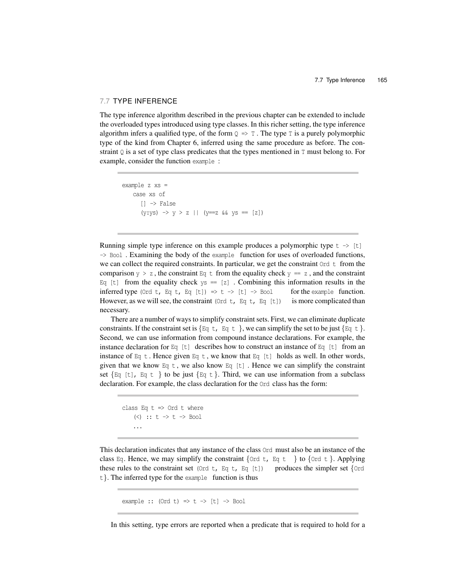# 7.7 TYPE INFERENCE

The type inference algorithm described in the previous chapter can be extended to include the overloaded types introduced using type classes. In this richer setting, the type inference algorithm infers a qualified type, of the form  $Q \Rightarrow T$ . The type T is a purely polymorphic type of the kind from Chapter 6, inferred using the same procedure as before. The constraint  $\Diamond$  is a set of type class predicates that the types mentioned in  $\top$  must belong to. For example, consider the function example :

```
example z xs =
   case xs of
      [] -> False
      (y:ys) \rightarrow y > z || (y=x \&ys = [z])
```
Running simple type inference on this example produces a polymorphic type  $t \rightarrow [t]$ -> Bool . Examining the body of the example function for uses of overloaded functions, we can collect the required constraints. In particular, we get the constraint  $0<sup>rd</sup>$  t from the comparison  $y > z$ , the constraint Eq t from the equality check  $y = z$ , and the constraint Eq [t] from the equality check  $ys = [z]$ . Combining this information results in the inferred type (Ord t, Eq t, Eq [t])  $\Rightarrow$  t  $\rightarrow$  [t]  $\Rightarrow$  Bool for the example function. However, as we will see, the constraint (Ord t, Eq t, Eq [t]) is more complicated than necessary.

There are a number of ways to simplify constraint sets. First, we can eliminate duplicate constraints. If the constraint set is  $\{ \mathbb{E} q \, \mathsf{t} \}$ , we can simplify the set to be just  $\{ \mathbb{E} q \, \mathsf{t} \}$ . Second, we can use information from compound instance declarations. For example, the instance declaration for Eq [t] describes how to construct an instance of Eq [t] from an instance of Eq t. Hence given Eq t, we know that Eq [t] holds as well. In other words, given that we know Eq t , we also know Eq [t] . Hence we can simplify the constraint set  $\{Eq \mid t\}$ ,  $Eq \mid t$   $\}$  to be just  $\{Eq \mid t\}$ . Third, we can use information from a subclass declaration. For example, the class declaration for the Ord class has the form:

```
class Eq t \Rightarrow Ord t where
     (\le) :: t \Rightarrow t \Rightarrow Bool
     ...
```
This declaration indicates that any instance of the class Ord must also be an instance of the class Eq. Hence, we may simplify the constraint  $\{\text{Ord } t, E q t \}$  to  $\{\text{Ord } t\}$ . Applying these rules to the constraint set  $(Ord t, Eq t, Eq [t])$  produces the simpler set  $\{Ord$ t*}*. The inferred type for the example function is thus

```
example :: (Ord t) \Rightarrow t \Rightarrow [t] \Rightarrow Bool
```
In this setting, type errors are reported when a predicate that is required to hold for a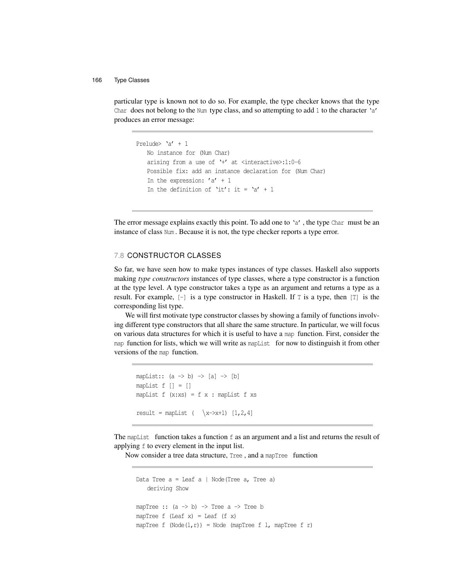particular type is known not to do so. For example, the type checker knows that the type Char does not belong to the Num type class, and so attempting to add 1 to the character 'a' produces an error message:

```
Prelude> 'a' + 1
   No instance for (Num Char)
   arising from a use of '+' at <interactive>:1:0-6
   Possible fix: add an instance declaration for (Num Char)
   In the expression: 'a' + 1In the definition of 'it': it = 'a' + 1
```
The error message explains exactly this point. To add one to 'a', the type Char must be an instance of class Num . Because it is not, the type checker reports a type error.

# 7.8 CONSTRUCTOR CLASSES

So far, we have seen how to make types instances of type classes. Haskell also supports making *type constructors* instances of type classes, where a type constructor is a function at the type level. A type constructor takes a type as an argument and returns a type as a result. For example,  $[-]$  is a type constructor in Haskell. If  $T$  is a type, then  $[T]$  is the corresponding list type.

We will first motivate type constructor classes by showing a family of functions involving different type constructors that all share the same structure. In particular, we will focus on various data structures for which it is useful to have a map function. First, consider the map function for lists, which we will write as mapList for now to distinguish it from other versions of the map function.

```
mapList:: (a \rightarrow b) \rightarrow [a] \rightarrow [b]mapList f \mid \cdot \mid = \cdot \midmapList f(x:xs) = f(x : mapList f xs)result = mapList (\sqrt{x}->x+1) [1,2,4]
```
The mapList function takes a function f as an argument and a list and returns the result of applying f to every element in the input list.

Now consider a tree data structure, Tree , and a mapTree function

```
Data Tree a = Leaf a \mid Node(Tree a, Tree a)
    deriving Show
mapTree :: (a \rightarrow b) \rightarrow Tree a \rightarrow Tree b
mapTree f (Leaf x) = Leaf (f x)
mapTree f (Node(1, r)) = Node (mapTree f 1, mapTree f r)
```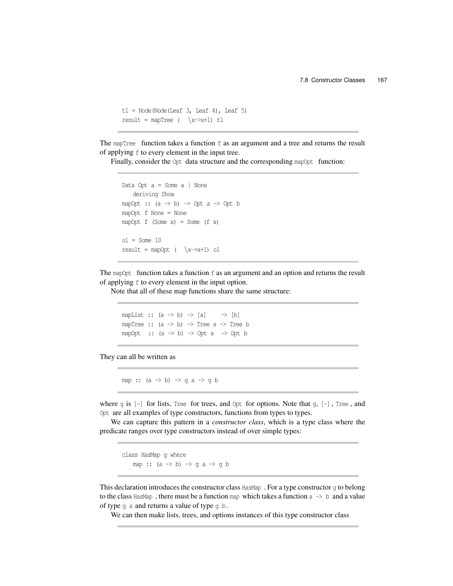```
t1 = Node(Node(Leaf 3, Leaf 4), Leaf 5)
result = mapTree (\sqrt{x}->x+1) t1
```
The mapTree function takes a function  $f$  as an argument and a tree and returns the result of applying f to every element in the input tree.

Finally, consider the  $Opt$  data structure and the corresponding map opt function:

```
Data Opt a = Some a | Nonederiving Show
mapOpt :: (a \rightarrow b) \rightarrow Opt a \rightarrow Opt bmapOpt f None = None
mapOpt f (Some x) = Some (f x)ol = Some 10result = mapOpt ( \ x\rightarrow x+1) o1
```
The mapOpt function takes a function  $f$  as an argument and an option and returns the result of applying f to every element in the input option.

Note that all of these map functions share the same structure:

mapList ::  $(a \rightarrow b) \rightarrow [a] \rightarrow [b]$ mapTree ::  $(a \rightarrow b) \rightarrow$  Tree  $a \rightarrow$  Tree b mapOpt ::  $(a \rightarrow b) \rightarrow$  Opt  $a \rightarrow$  Opt b

They can all be written as

map ::  $(a \rightarrow b) \rightarrow g a \rightarrow g b$ 

where  $q$  is  $[-]$  for lists, Tree for trees, and Opt for options. Note that  $q$ ,  $[-]$ , Tree, and Opt are all examples of type constructors, functions from types to types.

We can capture this pattern in a *constructor class*, which is a type class where the predicate ranges over type constructors instead of over simple types:

class HasMap g where map ::  $(a \rightarrow b) \rightarrow g a \rightarrow g b$ 

This declaration introduces the constructor class  $\text{HasMap}$ . For a type constructor q to belong to the class HasMap, there must be a function map which takes a function  $a \rightarrow b$  and a value of type q a and returns a value of type q b.

We can then make lists, trees, and options instances of this type constructor class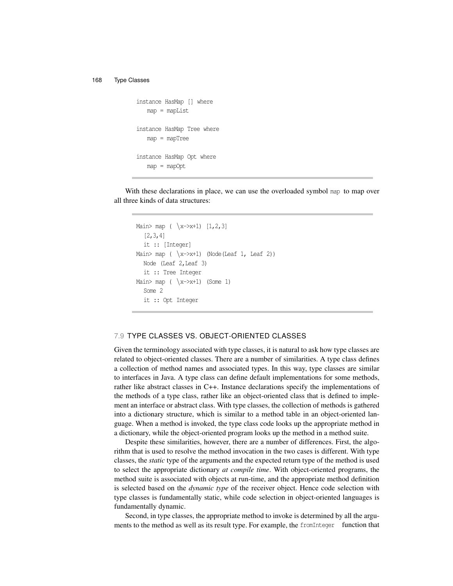```
instance HasMap [] where
   map = mapListinstance HasMap Tree where
   map = mapTree
instance HasMap Opt where
   map = mapOpt
```
With these declarations in place, we can use the overloaded symbol map to map over all three kinds of data structures:

```
Main> map ( \x->x+1) [1,2,3]
  [2,3,4]
  it :: [Integer]
Main> map (\lambda x \rightarrow x+1) (Node (Leaf 1, Leaf 2))
  Node (Leaf 2,Leaf 3)
  it :: Tree Integer
Main> map ( \x->x+1) (Some 1)
  Some 2
  it :: Opt Integer
```
# 7.9 TYPE CLASSES VS. OBJECT-ORIENTED CLASSES

Given the terminology associated with type classes, it is natural to ask how type classes are related to object-oriented classes. There are a number of similarities. A type class defines a collection of method names and associated types. In this way, type classes are similar to interfaces in Java. A type class can define default implementations for some methods, rather like abstract classes in C++. Instance declarations specify the implementations of the methods of a type class, rather like an object-oriented class that is defined to implement an interface or abstract class. With type classes, the collection of methods is gathered into a dictionary structure, which is similar to a method table in an object-oriented language. When a method is invoked, the type class code looks up the appropriate method in a dictionary, while the object-oriented program looks up the method in a method suite.

Despite these similarities, however, there are a number of differences. First, the algorithm that is used to resolve the method invocation in the two cases is different. With type classes, the *static* type of the arguments and the expected return type of the method is used to select the appropriate dictionary *at compile time*. With object-oriented programs, the method suite is associated with objects at run-time, and the appropriate method definition is selected based on the *dynamic type* of the receiver object. Hence code selection with type classes is fundamentally static, while code selection in object-oriented languages is fundamentally dynamic.

Second, in type classes, the appropriate method to invoke is determined by all the arguments to the method as well as its result type. For example, the fromInteger function that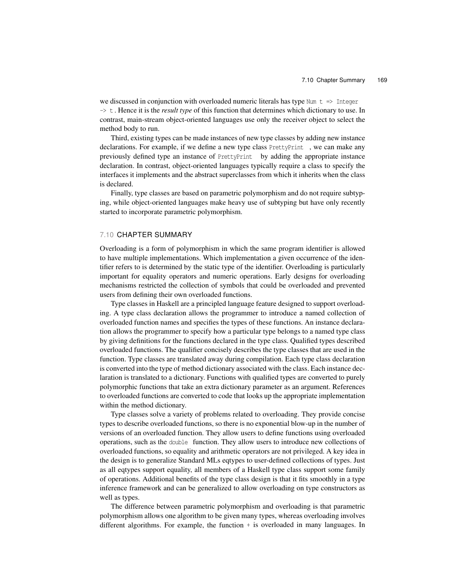we discussed in conjunction with overloaded numeric literals has type Num  $t \Rightarrow$  Integer -> t . Hence it is the *result type* of this function that determines which dictionary to use. In contrast, main-stream object-oriented languages use only the receiver object to select the method body to run.

Third, existing types can be made instances of new type classes by adding new instance declarations. For example, if we define a new type class PrettyPrint , we can make any previously defined type an instance of PrettyPrint by adding the appropriate instance declaration. In contrast, object-oriented languages typically require a class to specify the interfaces it implements and the abstract superclasses from which it inherits when the class is declared.

Finally, type classes are based on parametric polymorphism and do not require subtyping, while object-oriented languages make heavy use of subtyping but have only recently started to incorporate parametric polymorphism.

#### 7.10 CHAPTER SUMMARY

Overloading is a form of polymorphism in which the same program identifier is allowed to have multiple implementations. Which implementation a given occurrence of the identifier refers to is determined by the static type of the identifier. Overloading is particularly important for equality operators and numeric operations. Early designs for overloading mechanisms restricted the collection of symbols that could be overloaded and prevented users from defining their own overloaded functions.

Type classes in Haskell are a principled language feature designed to support overloading. A type class declaration allows the programmer to introduce a named collection of overloaded function names and specifies the types of these functions. An instance declaration allows the programmer to specify how a particular type belongs to a named type class by giving definitions for the functions declared in the type class. Qualified types described overloaded functions. The qualifier concisely describes the type classes that are used in the function. Type classes are translated away during compilation. Each type class declaration is converted into the type of method dictionary associated with the class. Each instance declaration is translated to a dictionary. Functions with qualified types are converted to purely polymorphic functions that take an extra dictionary parameter as an argument. References to overloaded functions are converted to code that looks up the appropriate implementation within the method dictionary.

Type classes solve a variety of problems related to overloading. They provide concise types to describe overloaded functions, so there is no exponential blow-up in the number of versions of an overloaded function. They allow users to define functions using overloaded operations, such as the double function. They allow users to introduce new collections of overloaded functions, so equality and arithmetic operators are not privileged. A key idea in the design is to generalize Standard MLs eqtypes to user-defined collections of types. Just as all eqtypes support equality, all members of a Haskell type class support some family of operations. Additional benefits of the type class design is that it fits smoothly in a type inference framework and can be generalized to allow overloading on type constructors as well as types.

The difference between parametric polymorphism and overloading is that parametric polymorphism allows one algorithm to be given many types, whereas overloading involves different algorithms. For example, the function + is overloaded in many languages. In